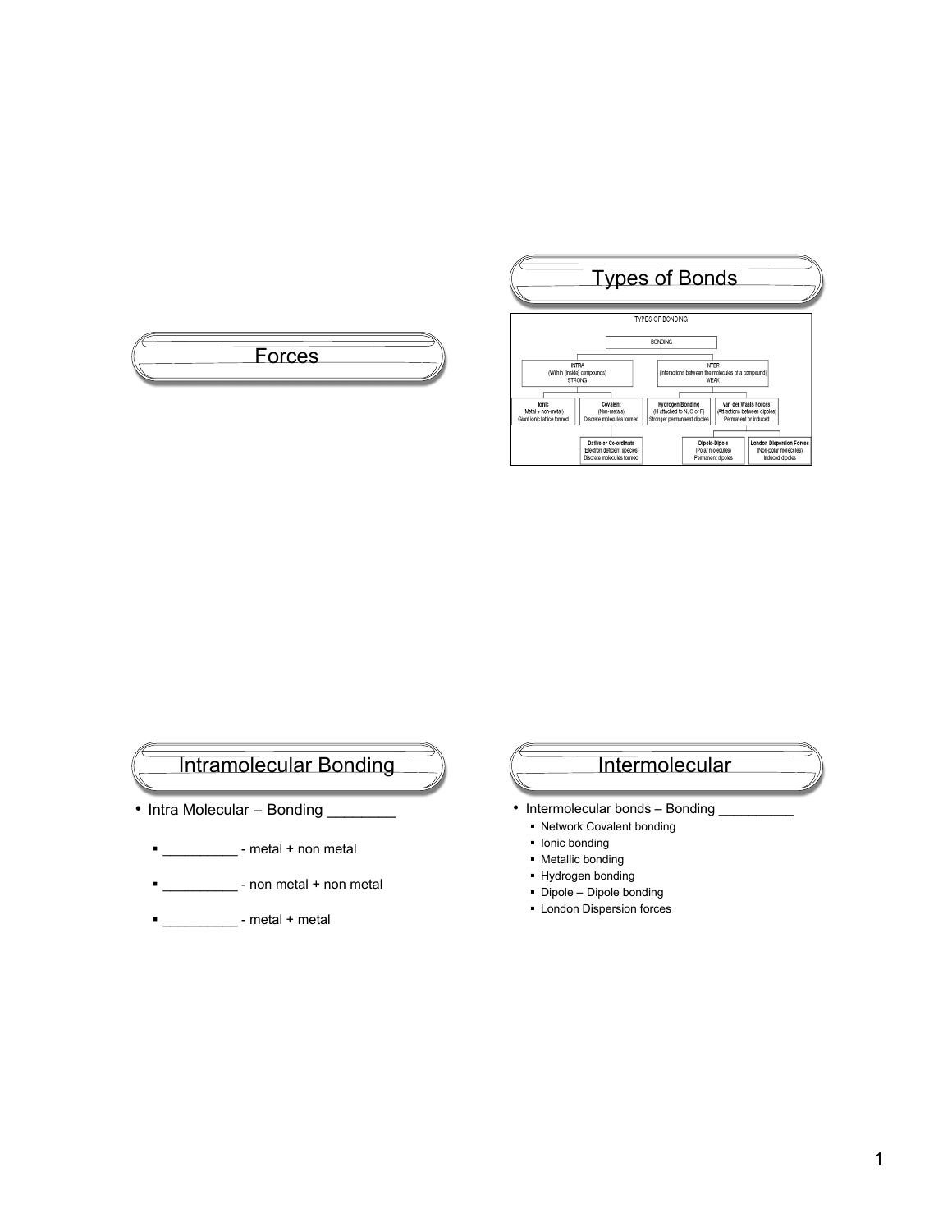





- Intra Molecular Bonding
	- | \_\_\_\_\_\_\_\_\_\_\_\_\_\_ metal + non metal
	- **-** \_\_\_\_\_\_\_\_\_\_\_\_ non metal + non metal
	- $\blacksquare$  metal + metal

### **Intermolecular**

- Intermolecular bonds Bonding
	- Network Covalent bonding
	- **Ionic bonding**
	- Metallic bonding
	- Hydrogen bonding
	- Dipole Dipole bonding
	- **-** London Dispersion forces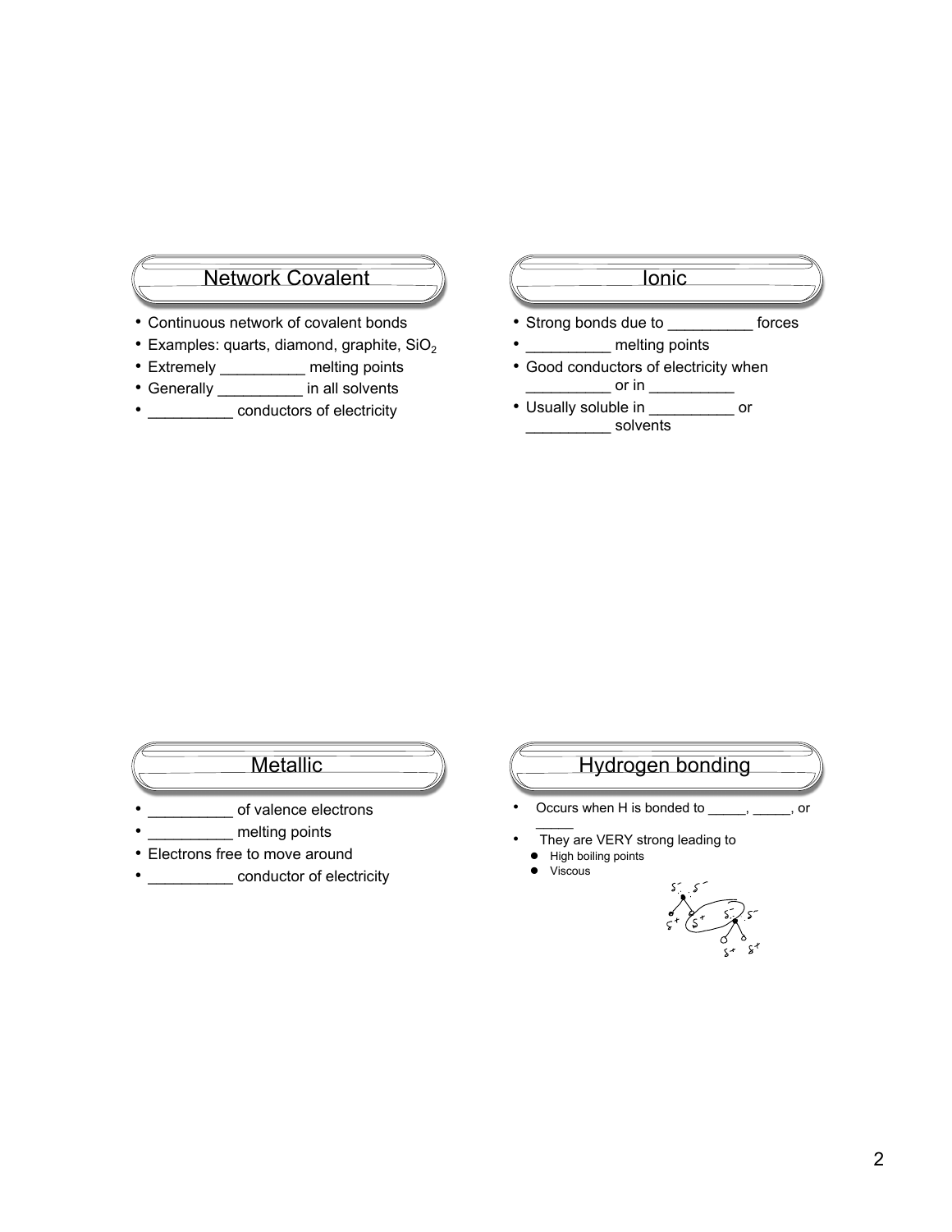# Network Covalent

- Continuous network of covalent bonds
- $\bullet$  Examples: quarts, diamond, graphite, SiO<sub>2</sub>
- Extremely \_\_\_\_\_\_\_\_\_\_\_ melting points
- Generally \_\_\_\_\_\_\_\_\_\_ in all solvents
- \_\_\_\_\_\_\_\_\_\_\_ conductors of electricity



- Strong bonds due to \_\_\_\_\_\_\_\_\_\_ forces
- \_\_\_\_\_\_\_\_\_\_\_ melting points
- Good conductors of electricity when  $\_$  or in  $\_$
- Usually soluble in \_\_\_\_\_\_\_\_\_\_ or decrease to solvents

# **Metallic**

- of valence electrons
- melting points
- Electrons free to move around
- **\_\_\_\_\_\_\_\_\_\_\_\_\_\_ conductor of electricity**

# Hydrogen bonding

- Occurs when H is bonded to \_\_\_\_\_, \_\_\_\_\_, or  $\frac{1}{2}$
- They are VERY strong leading to
	- High boiling points
- Viscous

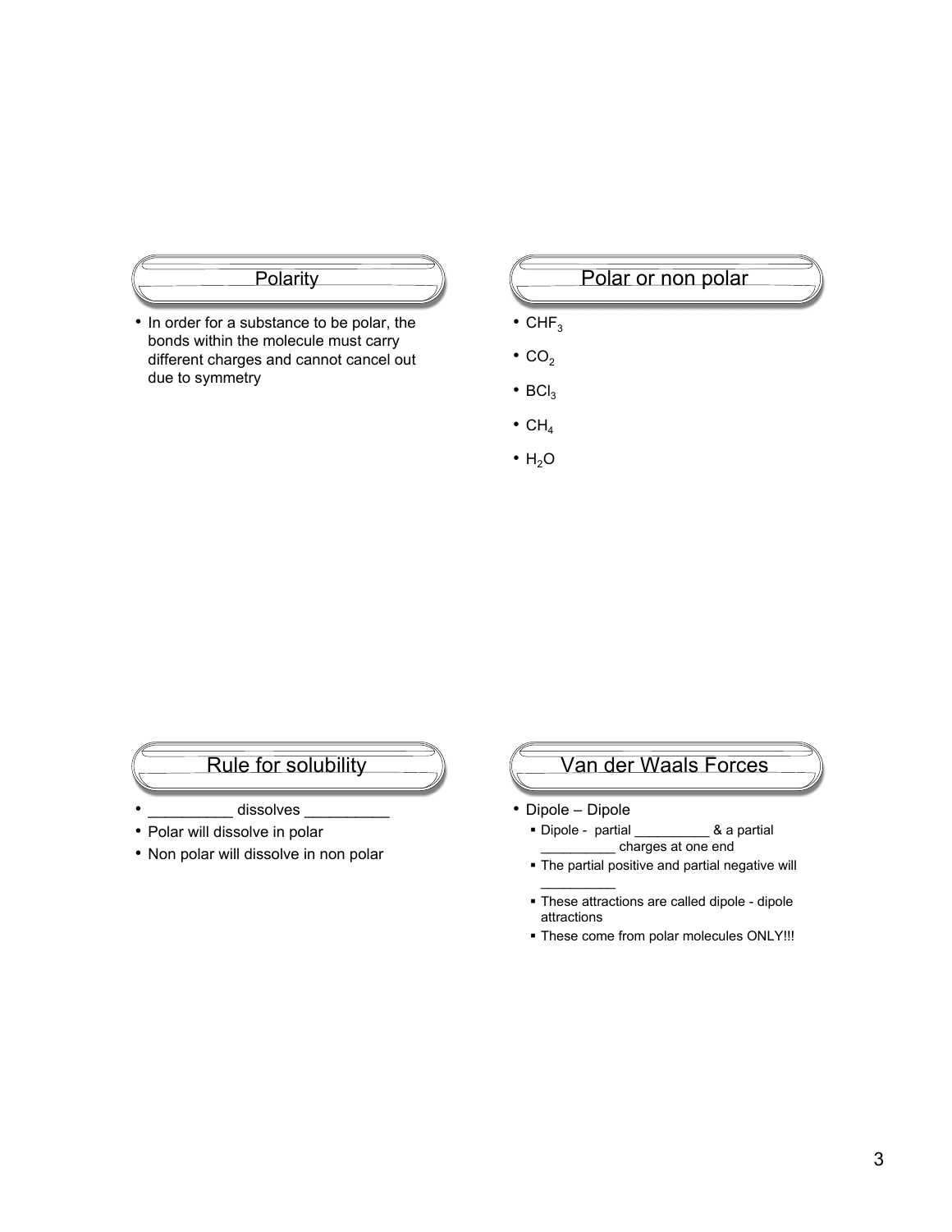

• In order for a substance to be polar, the bonds within the molecule must carry different charges and cannot cancel out due to symmetry

### Polar or non polar

- $\cdot$  CHF<sub>3</sub>
- $\cdot$  CO<sub>2</sub>
- $BCI<sub>3</sub>$
- $\bullet$  CH<sub>4</sub>
- $\cdot$  H<sub>2</sub>O

# Rule for solubility

- dissolves
- Polar will dissolve in polar
- Non polar will dissolve in non polar

# Van der Waals Forces

- Dipole Dipole
	- Dipole partial \_\_\_\_\_\_\_\_\_\_ & a partial \_\_\_\_\_\_\_\_\_\_ charges at one end
	- The partial positive and partial negative will  $\mathcal{L}_\text{max}$
	- These attractions are called dipole dipole attractions
	- These come from polar molecules ONLY!!!